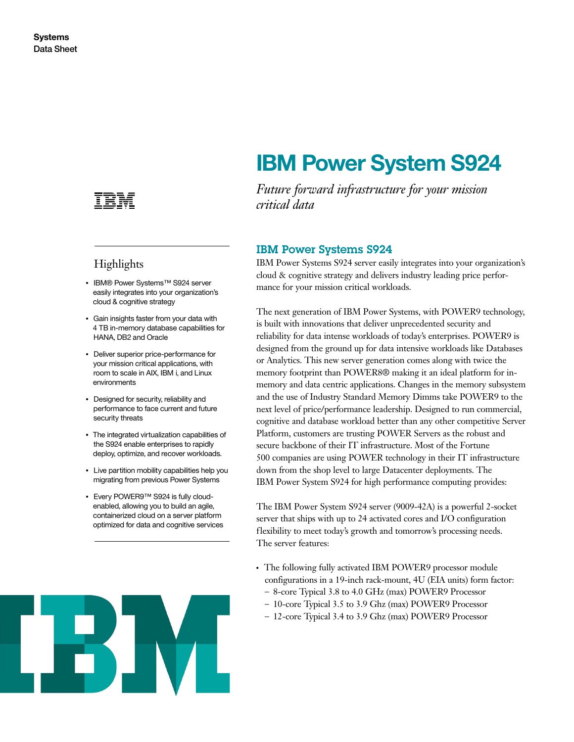

# **Highlights**

- IBM® Power Systems™ S924 server easily integrates into your organization's cloud & cognitive strategy
- Gain insights faster from your data with 4 TB in-memory database capabilities for HANA, DB2 and Oracle
- Deliver superior price-performance for your mission critical applications, with room to scale in AIX, IBM i, and Linux environments
- Designed for security, reliability and performance to face current and future security threats
- The integrated virtualization capabilities of the S924 enable enterprises to rapidly deploy, optimize, and recover workloads.
- Live partition mobility capabilities help you migrating from previous Power Systems
- Every POWER9™ S924 is fully cloudenabled, allowing you to build an agile, containerized cloud on a server platform optimized for data and cognitive services



# **IBM Power System S924**

*Future forward infrastructure for your mission critical data*

# IBM Power Systems S924

IBM Power Systems S924 server easily integrates into your organization's cloud & cognitive strategy and delivers industry leading price performance for your mission critical workloads.

The next generation of IBM Power Systems, with POWER9 technology, is built with innovations that deliver unprecedented security and reliability for data intense workloads of today's enterprises. POWER9 is designed from the ground up for data intensive workloads like Databases or Analytics. This new server generation comes along with twice the memory footprint than POWER8® making it an ideal platform for inmemory and data centric applications. Changes in the memory subsystem and the use of Industry Standard Memory Dimms take POWER9 to the next level of price/performance leadership. Designed to run commercial, cognitive and database workload better than any other competitive Server Platform, customers are trusting POWER Servers as the robust and secure backbone of their IT infrastructure. Most of the Fortune 500 companies are using POWER technology in their IT infrastructure down from the shop level to large Datacenter deployments. The IBM Power System S924 for high performance computing provides:

The IBM Power System S924 server (9009-42A) is a powerful 2-socket server that ships with up to 24 activated cores and I/O configuration flexibility to meet today's growth and tomorrow's processing needs. The server features:

- The following fully activated IBM POWER9 processor module configurations in a 19-inch rack-mount, 4U (EIA units) form factor:
	- 8-core Typical 3.8 to 4.0 GHz (max) POWER9 Processor
	- 10-core Typical 3.5 to 3.9 Ghz (max) POWER9 Processor
	- 12-core Typical 3.4 to 3.9 Ghz (max) POWER9 Processor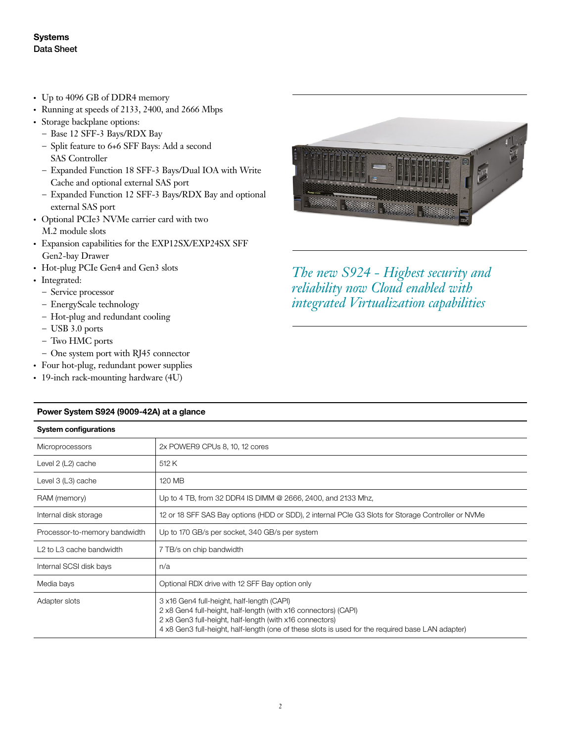- Up to 4096 GB of DDR4 memory
- $\cdot$  Running at speeds of 2133, 2400, and 2666 Mbps
- Storage backplane options:
	- Base 12 SFF-3 Bays/RDX Bay
	- Split feature to 6+6 SFF Bays: Add a second SAS Controller
	- Expanded Function 18 SFF-3 Bays/Dual IOA with Write Cache and optional external SAS port
	- Expanded Function 12 SFF-3 Bays/RDX Bay and optional external SAS port
- Optional PCIe3 NVMe carrier card with two M.2 module slots
- Expansion capabilities for the EXP12SX/EXP24SX SFF Gen2-bay Drawer
- Hot-plug PCIe Gen4 and Gen3 slots
- Integrated:
	- Service processor
	- EnergyScale technology
	- Hot-plug and redundant cooling
	- USB 3.0 ports
	- Two HMC ports
	- One system port with RJ45 connector
- Four hot-plug, redundant power supplies
- 19-inch rack-mounting hardware (4U)



*The new S924 - Highest security and reliability now Cloud enabled with integrated Virtualization capabilities*

| <b>System configurations</b>                     |                                                                                                                                                                                                                                                                                |
|--------------------------------------------------|--------------------------------------------------------------------------------------------------------------------------------------------------------------------------------------------------------------------------------------------------------------------------------|
| <b>Microprocessors</b>                           | 2x POWER9 CPUs 8, 10, 12 cores                                                                                                                                                                                                                                                 |
| Level 2 (L2) cache                               | 512 K                                                                                                                                                                                                                                                                          |
| Level 3 (L3) cache                               | 120 MB                                                                                                                                                                                                                                                                         |
| RAM (memory)                                     | Up to 4 TB, from 32 DDR4 IS DIMM @ 2666, 2400, and 2133 Mhz,                                                                                                                                                                                                                   |
| Internal disk storage                            | 12 or 18 SFF SAS Bay options (HDD or SDD), 2 internal PCIe G3 Slots for Storage Controller or NVMe                                                                                                                                                                             |
| Processor-to-memory bandwidth                    | Up to 170 GB/s per socket, 340 GB/s per system                                                                                                                                                                                                                                 |
| L <sub>2</sub> to L <sub>3</sub> cache bandwidth | 7 TB/s on chip bandwidth                                                                                                                                                                                                                                                       |
| Internal SCSI disk bays                          | n/a                                                                                                                                                                                                                                                                            |
| Media bays                                       | Optional RDX drive with 12 SFF Bay option only                                                                                                                                                                                                                                 |
| Adapter slots                                    | 3 x16 Gen4 full-height, half-length (CAPI)<br>2 x8 Gen4 full-height, half-length (with x16 connectors) (CAPI)<br>2 x8 Gen3 full-height, half-length (with x16 connectors)<br>4 x8 Gen3 full-height, half-length (one of these slots is used for the required base LAN adapter) |

#### **Power System S924 (9009-42A) at a glance**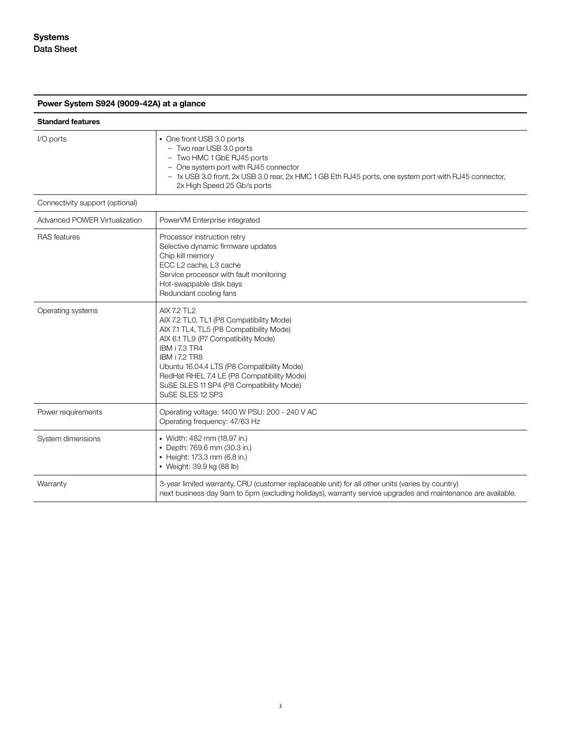**Power System S924 (9009-42A) at a glance**

| <b>Standard features</b>        |                                                                                                                                                                                                                                                                                                                                                        |
|---------------------------------|--------------------------------------------------------------------------------------------------------------------------------------------------------------------------------------------------------------------------------------------------------------------------------------------------------------------------------------------------------|
| I/O ports                       | • One front USB 3.0 ports<br>- Two rear USB 3.0 ports<br>- Two HMC 1 GbE RJ45 ports<br>- One system port with RJ45 connector<br>- 1x USB 3.0 front, 2x USB 3.0 rear, 2x HMC 1 GB Eth RJ45 ports, one system port with RJ45 connector,<br>2x High Speed 25 Gb/s ports                                                                                   |
| Connectivity support (optional) |                                                                                                                                                                                                                                                                                                                                                        |
| Advanced POWER Virtualization   | PowerVM Enterprise integrated                                                                                                                                                                                                                                                                                                                          |
| <b>RAS</b> features             | Processor instruction retry<br>Selective dynamic firmware updates<br>Chip kill memory<br>ECC L2 cache, L3 cache<br>Service processor with fault monitoring<br>Hot-swappable disk bays<br>Redundant cooling fans                                                                                                                                        |
| Operating systems               | <b>AIX 7.2 TL2</b><br>AIX 7.2 TL0, TL1 (P8 Compatibility Mode)<br>AIX 7.1 TL4, TL5 (P8 Compatibility Mode)<br>AIX 6.1 TL9 (P7 Compatibility Mode)<br>IBM i 7.3 TR4<br><b>IBM i 7.2 TR8</b><br>Ubuntu 16.04.4 LTS (P8 Compatibility Mode)<br>RedHat RHEL 7.4 LE (P8 Compatibility Mode)<br>SuSE SLES 11 SP4 (P8 Compatibility Mode)<br>SuSE SLES 12 SP3 |
| Power requirements              | Operating voltage: 1400 W PSU: 200 - 240 V AC<br>Operating frequency: 47/63 Hz                                                                                                                                                                                                                                                                         |
| System dimensions               | • Width: 482 mm (18.97 in.)<br>• Depth: 769.6 mm (30.3 in.)<br>• Height: 173.3 mm (6.8 in.)<br>• Weight: 39.9 kg (88 lb)                                                                                                                                                                                                                               |
| Warranty                        | 3-year limited warranty, CRU (customer replaceable unit) for all other units (varies by country)<br>next business day 9am to 5pm (excluding holidays), warranty service upgrades and maintenance are available.                                                                                                                                        |